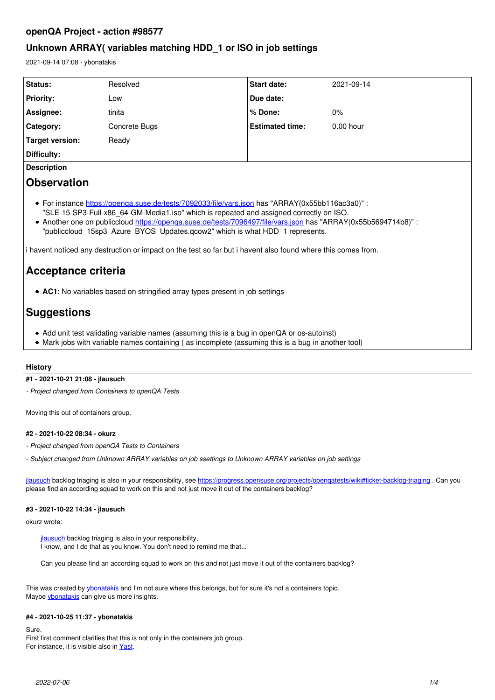# **openQA Project - action #98577**

# **Unknown ARRAY( variables matching HDD\_1 or ISO in job settings**

2021-09-14 07:08 - ybonatakis

| Status:                                                                                                                                                                                                                                                                                                                                                                                                                                                                                                      | Resolved      | <b>Start date:</b>     | 2021-09-14  |
|--------------------------------------------------------------------------------------------------------------------------------------------------------------------------------------------------------------------------------------------------------------------------------------------------------------------------------------------------------------------------------------------------------------------------------------------------------------------------------------------------------------|---------------|------------------------|-------------|
| <b>Priority:</b>                                                                                                                                                                                                                                                                                                                                                                                                                                                                                             | Low           | Due date:              |             |
| Assignee:                                                                                                                                                                                                                                                                                                                                                                                                                                                                                                    | tinita        | % Done:                | 0%          |
| Category:                                                                                                                                                                                                                                                                                                                                                                                                                                                                                                    | Concrete Bugs | <b>Estimated time:</b> | $0.00$ hour |
| <b>Target version:</b>                                                                                                                                                                                                                                                                                                                                                                                                                                                                                       | Ready         |                        |             |
| Difficulty:                                                                                                                                                                                                                                                                                                                                                                                                                                                                                                  |               |                        |             |
| <b>Description</b>                                                                                                                                                                                                                                                                                                                                                                                                                                                                                           |               |                        |             |
| <b>Observation</b>                                                                                                                                                                                                                                                                                                                                                                                                                                                                                           |               |                        |             |
| • For instance https://openga.suse.de/tests/7092033/file/vars.json has "ARRAY(0x55bb116ac3a0)":<br>"SLE-15-SP3-Full-x86 64-GM-Media1.iso" which is repeated and assigned correctly on ISO.<br>. * Another one on publiccloud https://openga.suse.de/tests/7096497/file/vars.json has "ARRAY(0x55b5694714b8)"<br>"publiccloud 15sp3 Azure BYOS Updates.gcow2" which is what HDD 1 represents.<br>i havent noticed any destruction or impact on the test so far but i havent also found where this comes from. |               |                        |             |
| Acceptance criteria                                                                                                                                                                                                                                                                                                                                                                                                                                                                                          |               |                        |             |
| • AC1: No variables based on stringified array types present in job settings                                                                                                                                                                                                                                                                                                                                                                                                                                 |               |                        |             |
| <b>Suggestions</b>                                                                                                                                                                                                                                                                                                                                                                                                                                                                                           |               |                        |             |
| • Add unit test validating variable names (assuming this is a bug in openQA or os-autoinst)<br>• Mark jobs with variable names containing (as incomplete (assuming this is a bug in another tool)                                                                                                                                                                                                                                                                                                            |               |                        |             |

# **History**

# **#1 - 2021-10-21 21:08 - jlausuch**

*- Project changed from Containers to openQA Tests*

Moving this out of containers group.

### **#2 - 2021-10-22 08:34 - okurz**

- *Project changed from openQA Tests to Containers*
- *Subject changed from Unknown ARRAY variables on job ssettings to Unknown ARRAY variables on job settings*

[jlausuch](progress.opensuse.org/users/25856) backlog triaging is also in your responsibility, see <https://progress.opensuse.org/projects/openqatests/wiki#ticket-backlog-triaging>. Can you please find an according squad to work on this and not just move it out of the containers backlog?

# **#3 - 2021-10-22 14:34 - jlausuch**

okurz wrote:

[jlausuch](progress.opensuse.org/users/25856) backlog triaging is also in your responsibility, I know, and I do that as you know. You don't need to remind me that...

Can you please find an according squad to work on this and not just move it out of the containers backlog?

This was created by [ybonatakis](progress.opensuse.org/users/32492) and I'm not sure where this belongs, but for sure it's not a containers topic. Maybe *ybonatakis* can give us more insights.

# **#4 - 2021-10-25 11:37 - ybonatakis**

Sure.

First first comment clarifies that this is not only in the containers job group. For instance, it is visible also in [Yast.](https://openqa.suse.de/tests/7485529/file/vars.json)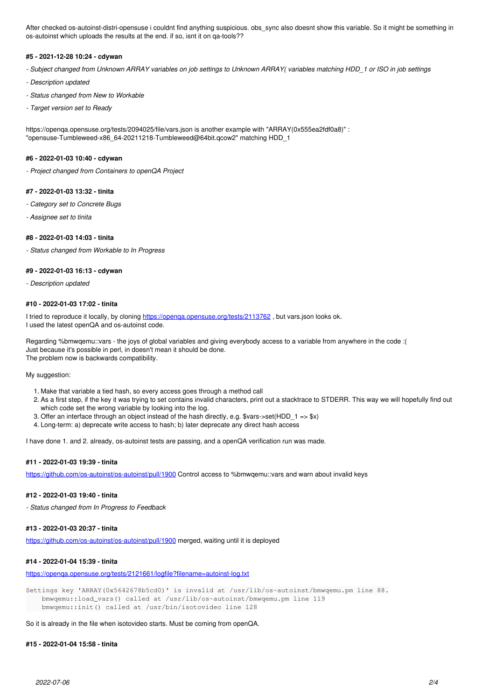After checked os-autoinst-distri-opensuse i couldnt find anything suspicious. obs\_sync also doesnt show this variable. So it might be something in os-autoinst which uploads the results at the end. if so, isnt it on qa-tools??

#### **#5 - 2021-12-28 10:24 - cdywan**

- *Subject changed from Unknown ARRAY variables on job settings to Unknown ARRAY( variables matching HDD\_1 or ISO in job settings*
- *Description updated*
- *Status changed from New to Workable*
- *Target version set to Ready*

https://openqa.opensuse.org/tests/2094025/file/vars.json is another example with "ARRAY(0x555ea2fdf0a8)" : "opensuse-Tumbleweed-x86\_64-20211218-Tumbleweed@64bit.qcow2" matching HDD\_1

### **#6 - 2022-01-03 10:40 - cdywan**

*- Project changed from Containers to openQA Project*

#### **#7 - 2022-01-03 13:32 - tinita**

- *Category set to Concrete Bugs*
- *Assignee set to tinita*

#### **#8 - 2022-01-03 14:03 - tinita**

*- Status changed from Workable to In Progress*

# **#9 - 2022-01-03 16:13 - cdywan**

*- Description updated*

# **#10 - 2022-01-03 17:02 - tinita**

I tried to reproduce it locally, by cloning https://openqa.opensuse.org/tests/2113762, but vars.json looks ok. I used the latest openQA and os-autoinst code.

Regarding %bmwqemu::vars - the joys of global variables and giving everybody access to a variable from anywhere in the code :( Just because it's possible in perl, in doesn't mean it should be done. The problem now is backwards compatibility.

#### My suggestion:

- 1. Make that variable a tied hash, so every access goes through a method call
- 2. As a first step, if the key it was trying to set contains invalid characters, print out a stacktrace to STDERR. This way we will hopefully find out which code set the wrong variable by looking into the log.
- 3. Offer an interface through an object instead of the hash directly, e.g. \$vars->set(HDD\_1 => \$x)
- 4. Long-term: a) deprecate write access to hash; b) later deprecate any direct hash access

I have done 1. and 2. already, os-autoinst tests are passing, and a openQA verification run was made.

#### **#11 - 2022-01-03 19:39 - tinita**

<https://github.com/os-autoinst/os-autoinst/pull/1900>Control access to %bmwqemu::vars and warn about invalid keys

# **#12 - 2022-01-03 19:40 - tinita**

*- Status changed from In Progress to Feedback*

### **#13 - 2022-01-03 20:37 - tinita**

<https://github.com/os-autoinst/os-autoinst/pull/1900>merged, waiting until it is deployed

### **#14 - 2022-01-04 15:39 - tinita**

<https://openqa.opensuse.org/tests/2121661/logfile?filename=autoinst-log.txt>

Settings key 'ARRAY(0x5642678b5cd0)' is invalid at /usr/lib/os-autoinst/bmwqemu.pm line 88. bmwqemu::load\_vars() called at /usr/lib/os-autoinst/bmwqemu.pm line 119 bmwqemu::init() called at /usr/bin/isotovideo line 128

So it is already in the file when isotovideo starts. Must be coming from openQA.

# **#15 - 2022-01-04 15:58 - tinita**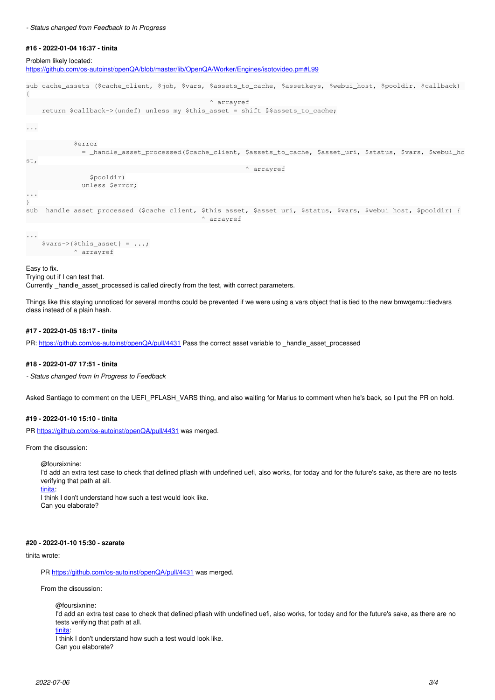### **#16 - 2022-01-04 16:37 - tinita**

Problem likely located:

<https://github.com/os-autoinst/openQA/blob/master/lib/OpenQA/Worker/Engines/isotovideo.pm#L99>

sub cache\_assets (\$cache\_client, \$job, \$vars, \$assets\_to\_cache, \$assetkeys, \$webui\_host, \$pooldir, \$callback) { ^ arrayref return \$callback->(undef) unless my \$this\_asset = shift @\$assets\_to\_cache; ... \$error = \_handle\_asset\_processed(\$cache\_client, \$assets\_to\_cache, \$asset\_uri, \$status, \$vars, \$webui\_ho st,  $\land$  arrayref \$pooldir) unless \$error; ... } sub \_handle\_asset\_processed (\$cache\_client, \$this\_asset, \$asset\_uri, \$status, \$vars, \$webui\_host, \$pooldir) { arrayref ... \$vars->{\$this\_asset} = ...;  $\land$  arrayref

Easy to fix.

Trying out if I can test that. Currently \_handle\_asset\_processed is called directly from the test, with correct parameters.

Things like this staying unnoticed for several months could be prevented if we were using a vars object that is tied to the new bmwqemu::tiedvars class instead of a plain hash.

### **#17 - 2022-01-05 18:17 - tinita**

PR: <https://github.com/os-autoinst/openQA/pull/4431>Pass the correct asset variable to \_handle\_asset\_processed

### **#18 - 2022-01-07 17:51 - tinita**

*- Status changed from In Progress to Feedback*

Asked Santiago to comment on the UEFI\_PFLASH\_VARS thing, and also waiting for Marius to comment when he's back, so I put the PR on hold.

# **#19 - 2022-01-10 15:10 - tinita**

PR <https://github.com/os-autoinst/openQA/pull/4431> was merged.

From the discussion:

@foursixnine:

I'd add an extra test case to check that defined pflash with undefined uefi, also works, for today and for the future's sake, as there are no tests verifying that path at all.

[tinita:](progress.opensuse.org/users/33482)

I think I don't understand how such a test would look like. Can you elaborate?

### **#20 - 2022-01-10 15:30 - szarate**

### tinita wrote:

PR<https://github.com/os-autoinst/openQA/pull/4431> was merged.

From the discussion:

@foursixnine: I'd add an extra test case to check that defined pflash with undefined uefi, also works, for today and for the future's sake, as there are no tests verifying that path at all.

[tinita:](progress.opensuse.org/users/33482)

I think I don't understand how such a test would look like. Can you elaborate?